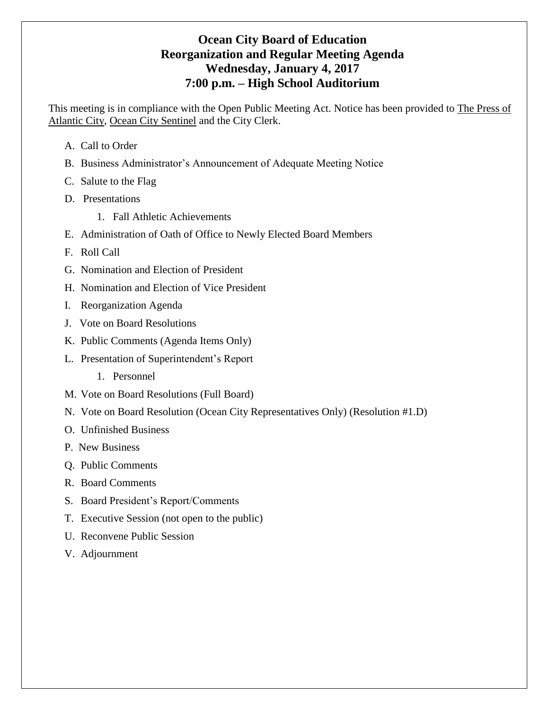# **Ocean City Board of Education Reorganization and Regular Meeting Agenda Wednesday, January 4, 2017 7:00 p.m. – High School Auditorium**

This meeting is in compliance with the Open Public Meeting Act. Notice has been provided to The Press of Atlantic City, Ocean City Sentinel and the City Clerk.

- A. Call to Order
- B. Business Administrator's Announcement of Adequate Meeting Notice
- C. Salute to the Flag
- D. Presentations
	- 1. Fall Athletic Achievements
- E. Administration of Oath of Office to Newly Elected Board Members
- F. Roll Call
- G. Nomination and Election of President
- H. Nomination and Election of Vice President
- I. Reorganization Agenda
- J. Vote on Board Resolutions
- K. Public Comments (Agenda Items Only)
- L. Presentation of Superintendent's Report
	- 1. Personnel
- M. Vote on Board Resolutions (Full Board)
- N. Vote on Board Resolution (Ocean City Representatives Only) (Resolution #1.D)
- O. Unfinished Business
- P. New Business
- Q. Public Comments
- R. Board Comments
- S. Board President's Report/Comments
- T. Executive Session (not open to the public)
- U. Reconvene Public Session
- V. Adjournment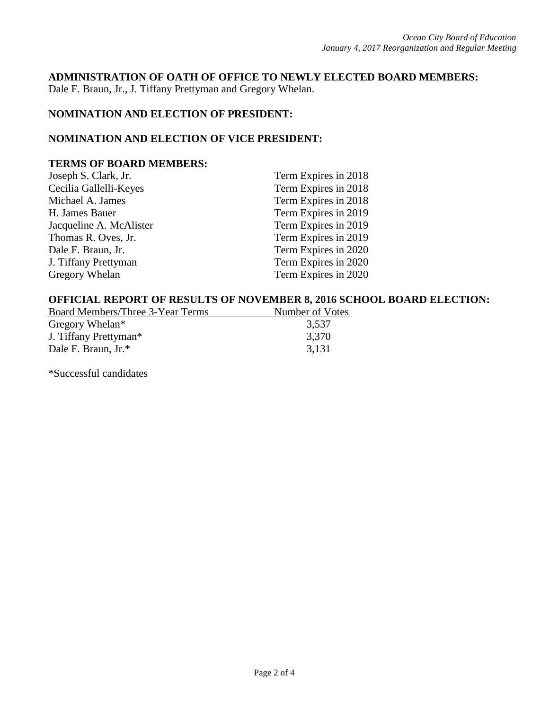#### **ADMINISTRATION OF OATH OF OFFICE TO NEWLY ELECTED BOARD MEMBERS:**

Dale F. Braun, Jr., J. Tiffany Prettyman and Gregory Whelan.

# **NOMINATION AND ELECTION OF PRESIDENT:**

### **NOMINATION AND ELECTION OF VICE PRESIDENT:**

### **TERMS OF BOARD MEMBERS:**

| Term Expires in 2018 |
|----------------------|
| Term Expires in 2018 |
| Term Expires in 2018 |
| Term Expires in 2019 |
| Term Expires in 2019 |
| Term Expires in 2019 |
| Term Expires in 2020 |
| Term Expires in 2020 |
| Term Expires in 2020 |
|                      |

### **OFFICIAL REPORT OF RESULTS OF NOVEMBER 8, 2016 SCHOOL BOARD ELECTION:**

| Board Members/Three 3-Year Terms  | Number of Votes |
|-----------------------------------|-----------------|
| Gregory Whelan*                   | 3,537           |
| J. Tiffany Prettyman <sup>*</sup> | 3,370           |
| Dale F. Braun, Jr.*               | 3,131           |

\*Successful candidates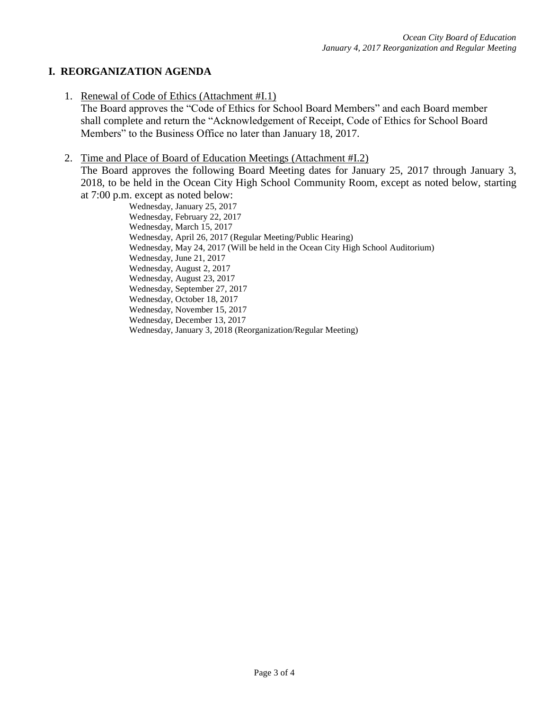## **I. REORGANIZATION AGENDA**

1. Renewal of Code of Ethics (Attachment #I.1)

The Board approves the "Code of Ethics for School Board Members" and each Board member shall complete and return the "Acknowledgement of Receipt, Code of Ethics for School Board Members" to the Business Office no later than January 18, 2017.

2. Time and Place of Board of Education Meetings (Attachment #I.2)

The Board approves the following Board Meeting dates for January 25, 2017 through January 3, 2018, to be held in the Ocean City High School Community Room, except as noted below, starting at 7:00 p.m. except as noted below:

Wednesday, January 25, 2017 Wednesday, February 22, 2017 Wednesday, March 15, 2017 Wednesday, April 26, 2017 (Regular Meeting/Public Hearing) Wednesday, May 24, 2017 (Will be held in the Ocean City High School Auditorium) Wednesday, June 21, 2017 Wednesday, August 2, 2017 Wednesday, August 23, 2017 Wednesday, September 27, 2017 Wednesday, October 18, 2017 Wednesday, November 15, 2017 Wednesday, December 13, 2017 Wednesday, January 3, 2018 (Reorganization/Regular Meeting)